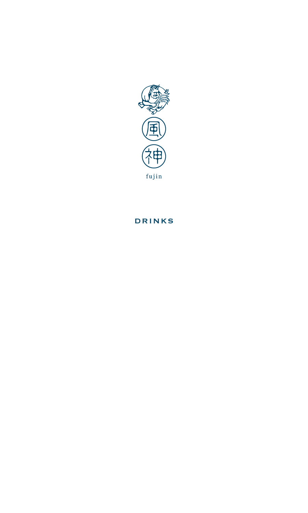

DRINKS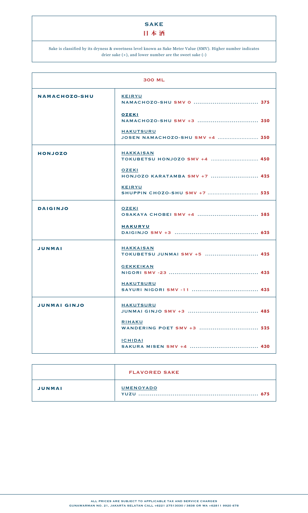# SAKE 日本酒

### Sake is classified by its dryness & sweetness level known as Sake Meter Value (SMV). Higher number indicates drier sake (+), and lower number are the sweet sake (-)

|                     | <b>300 ML</b>                                       |
|---------------------|-----------------------------------------------------|
| NAMACHOZO-SHU       | <b>KEIRYU</b>                                       |
|                     | <b>OZEKI</b>                                        |
|                     | <b>HAKUTSURU</b><br>JOSEN NAMACHOZO-SHU SMV +4  350 |
| <b>HONJOZO</b>      | <b>HAKKAISAN</b><br>TOKUBETSU HONJOZO SMV +4  450   |
|                     | <b>OZEKI</b><br>HONJOZO KARATAMBA SMV +7  425       |
|                     | <b>KEIRYU</b>                                       |
| <b>DAIGINJO</b>     | <b>OZEKI</b>                                        |
|                     | <b>HAKURYU</b>                                      |
| <b>JUNMAI</b>       | <b>HAKKAISAN</b><br>TOKUBETSU JUNMAI SMV +5  425    |
|                     | <b>GEKKEIKAN</b>                                    |
|                     | <b>HAKUTSURU</b>                                    |
| <b>JUNMAI GINJO</b> | <b>HAKUTSURU</b>                                    |
|                     | <b>RIHAKU</b><br><b>WANDERING POET SMV +3  525</b>  |
|                     | <b>ICHIDAI</b>                                      |

|               | <b>FLAVORED SAKE</b>            |
|---------------|---------------------------------|
| <b>JUNMAI</b> | <b>UMENOYADO</b><br>675<br>YUZU |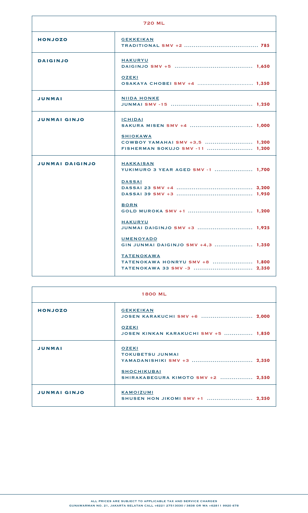|                        | <b>720 ML</b>                                                                        |  |
|------------------------|--------------------------------------------------------------------------------------|--|
| <b>HONJOZO</b>         | <b>GEKKEIKAN</b>                                                                     |  |
| <b>DAIGINJO</b>        | <b>HAKURYU</b>                                                                       |  |
|                        | <b>OZEKI</b><br><b>OSAKAYA CHOBEI SMV +4  1,350</b>                                  |  |
| <b>JUNMAI</b>          | <b>NIIDA HONKE</b>                                                                   |  |
| <b>JUNMAI GINJO</b>    | <b>ICHIDAI</b>                                                                       |  |
|                        | <b>SHIOKAWA</b><br>COWBOY YAMAHAI SMV +3,5  1,200<br>FISHERMAN SOKUJO SMV -11  1,200 |  |
| <b>JUNMAI DAIGINJO</b> | <b>HAKKAISAN</b><br>YUKIMURO 3 YEAR AGED SMV -1  1.700                               |  |
|                        | <b>DASSAI</b>                                                                        |  |
|                        | <b>BORN</b>                                                                          |  |
|                        | <b>HAKURYU</b>                                                                       |  |
|                        | <b>UMENOYADO</b><br>GIN JUNMAI DAIGINJO SMV +4,3  1,350                              |  |
|                        | <b>TATENOKAWA</b><br>TATENOKAWA HONRYU SMV +8  1,800<br>TATENOKAWA 33 SMV -3  2,350  |  |

| <b>1800 ML</b>      |                                                                        |  |
|---------------------|------------------------------------------------------------------------|--|
| <b>HONJOZO</b>      | <b>GEKKEIKAN</b><br>JOSEN KARAKUCHI SMV +6  2,000                      |  |
|                     | <b>OZEKI</b><br>JOSEN KINKAN KARAKUCHI SMV +5  1,850                   |  |
| <b>JUNMAI</b>       | <b>OZEKI</b><br><b>TOKUBETSU JUNMAI</b><br>YAMADANISHIKI SMV +3  2,350 |  |
|                     | <b>SHOCHIKUBAI</b><br>SHIRAKABEGURA KIMOTO SMV +2  2,550               |  |
| <b>JUNMAI GINJO</b> | <b>KAMOIZUMI</b><br><b>SHUSEN HON JIKOMI SMV +1  2.250</b>             |  |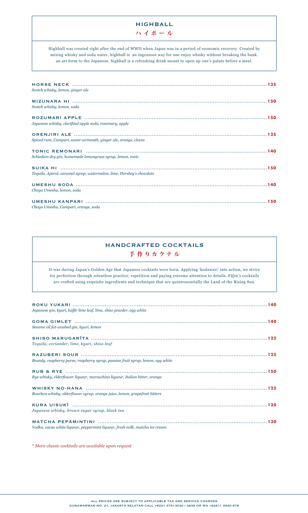# **HIGHBALL**

ハイボール

Highball was created right after the end of WWII when Japan was in a period of economic recovery. Created by mixing whisky and soda water, highball is an ingenious way for one enjoy whisky without breaking the bank. an art form to the Japanese, highball is a refreshing drink meant to open up one's palate before a meal.

| Scotch whisky, lemon, ginger ale                                      |
|-----------------------------------------------------------------------|
| Scotch whisky, lemon, soda                                            |
| Japanese whisky, clarifiied apple soda, rosemary, apple               |
| Spiced rum, Campari, sweet vermouth, ginger ale, orange, cloves       |
| Schiedam dru gin, homemade lemongrass surup, lemon, tonic             |
| Tequila, Aperol, caramel syrup, watermelon, lime, Hershey's chocolate |
| Choya Umeshu, lemon, soda                                             |
| Choya Umeshu, Campari, orange, soda                                   |

# HANDCRAFTED COCKTAILS 手作りカクテル

It was during Japan's Golden Age that Japanese cocktails were born. Applying 'kodawari' into action, we strive for perfection through relentless practice, repetition and paying extreme attention to details. Fujin's cocktails are crafted using exquisite ingredients and technique that are quintessentially the Land of the Rising Sun.

| Japanese gin, kyuri, kaffir lime leaf, lime, shiso powder, egg white            |
|---------------------------------------------------------------------------------|
| Sesame oil fat-washed gin, kyuri, lemon                                         |
| Tequila, coriander, lime, kyuri, shiso leaf                                     |
| Brandy, raspberry puree, raspberry syrup, passion fruit syrup, lemon, egg white |
| Rye whisky, elderflower liqueur, maraschino liqueur, Italian bitter, orange     |
| Bourbon whisky, elderflower syrup, orange juice, lemon, grapefruit bitters      |
| Japanese whisky, brown sugar syrup, black tea                                   |
| Vodka, cacao white liqueur, peppermint liqueur, fresh milk, matcha ice cream    |

*\* More classic cocktails are available upon request*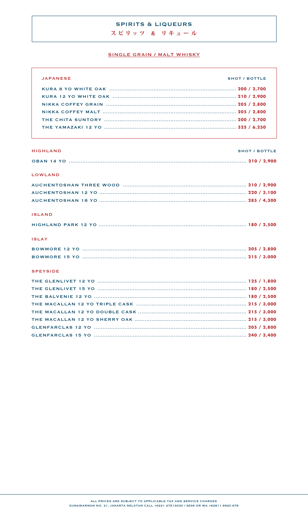# **SPIRITS & LIQUEURS**

スピリッツ & リキュール

## SINGLE GRAIN / MALT WHISKY

| <b>JAPANESE</b>                                              | <b>SHOT / BOTTLE</b> |
|--------------------------------------------------------------|----------------------|
|                                                              |                      |
|                                                              |                      |
|                                                              |                      |
|                                                              |                      |
|                                                              |                      |
|                                                              |                      |
| <b>HIGHLAND</b>                                              | <b>SHOT / BOTTLE</b> |
|                                                              |                      |
|                                                              |                      |
| <b>LOWLAND</b>                                               |                      |
|                                                              |                      |
|                                                              |                      |
|                                                              |                      |
| <b>ISLAND</b>                                                |                      |
|                                                              |                      |
| <b>ISLAY</b>                                                 |                      |
|                                                              |                      |
|                                                              |                      |
| <b>SPEYSIDE</b>                                              |                      |
|                                                              |                      |
|                                                              |                      |
|                                                              |                      |
|                                                              |                      |
|                                                              |                      |
|                                                              |                      |
| GLENFARCLAS 12 YO ……………………………………………………………………………… 205 / 2,800 |                      |
|                                                              |                      |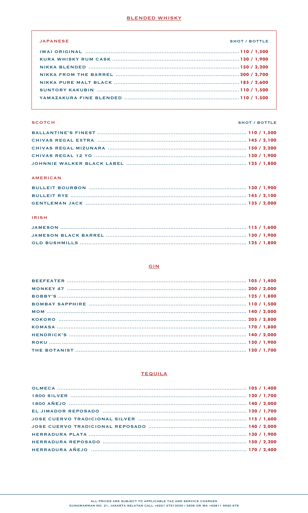### **BLENDED WHISKY**

| <b>JAPANESE</b> | <b>SHOT / BOTTLE</b> |
|-----------------|----------------------|
|                 |                      |
|                 |                      |
|                 |                      |
|                 |                      |
|                 |                      |
|                 |                      |
|                 |                      |
|                 |                      |

## SCOTCH

# SHOT / BOTTLE

# AMERICAN

# IRISH

### $GIN$

# **TEQUILA**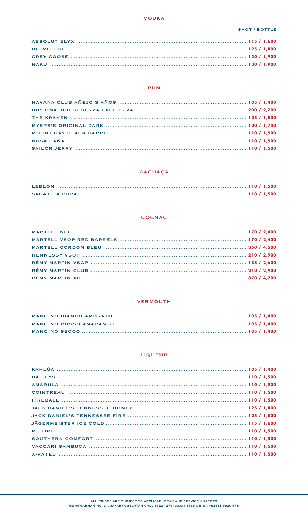### VODKA

SHOT / BOTTLE

# **RUM**

# CACHAÇA

### COGNAC

## **VERMOUTH**

## **LIQUEUR**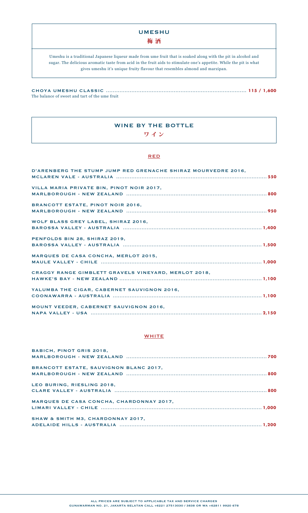# UMESHU 梅 酒

Umeshu is a traditional Japanese liqueur made from ume fruit that is soaked along with the pit in alcohol and sugar. The delicious aromatic taste from acid in the fruit aids to stimulate one's appetite. While the pit is what gives umeshu it's unique fruity flavour that resembles almond and marzipan.

#### CHOYA UMESHU CLASSIC ................................................................................... **115 / 1,600** The balance of sweet and tart of the ume fruit

# WINE BY THE BOTTLE

ワイン

### RED

| D'ARENBERG THE STUMP JUMP RED GRENACHE SHIRAZ MOURVEDRE 2016, |
|---------------------------------------------------------------|
| VILLA MARIA PRIVATE BIN, PINOT NOIR 2017,                     |
| <b>BRANCOTT ESTATE, PINOT NOIR 2016,</b>                      |
| WOLF BLASS GREY LABEL, SHIRAZ 2016,                           |
| PENFOLDS BIN 28, SHIRAZ 2019,                                 |
| MARQUES DE CASA CONCHA, MERLOT 2015,                          |
| CRAGGY RANGE GIMBLETT GRAVELS VINEYARD, MERLOT 2018,          |
| YALUMBA THE CIGAR, CABERNET SAUVIGNON 2016,                   |
| <b>MOUNT VEEDER, CABERNET SAUVIGNON 2016,</b>                 |

### **WHITE**

| <b>BABICH, PINOT GRIS 2018.</b>              |  |
|----------------------------------------------|--|
| BRANCOTT ESTATE, SAUVIGNON BLANC 2017,       |  |
| LEO BURING, RIESLING 2018,                   |  |
| MARQUES DE CASA CONCHA, CHARDONNAY 2017,     |  |
| <b>SHAW &amp; SMITH M3, CHARDONNAY 2017,</b> |  |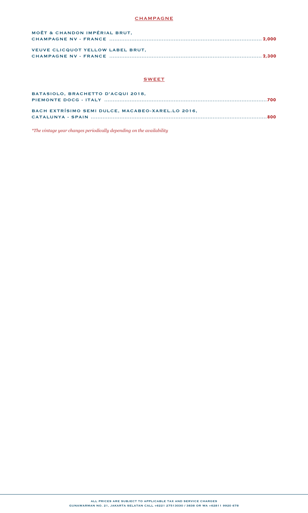### **CHAMPAGNE**

| MOËT & CHANDON IMPÉRIAL BRUT,            |  |
|------------------------------------------|--|
|                                          |  |
|                                          |  |
| <b>VEUVE CLICQUOT YELLOW LABEL BRUT.</b> |  |
|                                          |  |

# **SWEET**

| BATASIOLO, BRACHETTO D'ACQUI 2018.                |  |
|---------------------------------------------------|--|
|                                                   |  |
|                                                   |  |
| BACH EXTRÍSIMO SEMI DULCE, MACABEO-XAREL.LO 2016. |  |
|                                                   |  |
|                                                   |  |

*\*The vintage year changes periodically depending on the availability*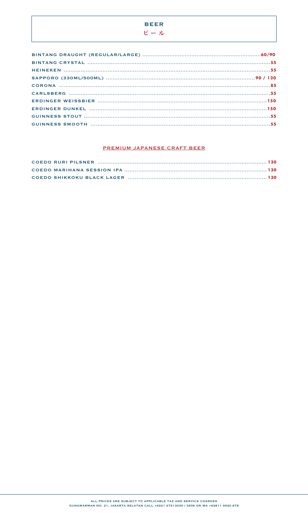# **BEER** ビール

### PREMIUM JAPANESE CRAFT BEER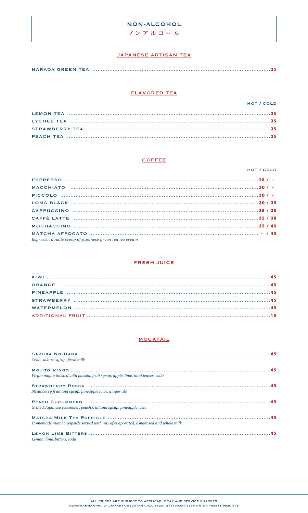# NON-ALCOHOL

ノンアルコール

## JAPANESE ARTISAN TEA

### **FLAVORED TEA**

| HOT / COLD |  |  |
|------------|--|--|

### **COFFEE**

#### HOT / COLD

| Espresso, double scoop of japanese green tea ice cream |  |  |
|--------------------------------------------------------|--|--|

### **FRESH JUICE**

# **MOCKTAIL**

| Ocha, sakura syrup, fresh milk                                                   |  |
|----------------------------------------------------------------------------------|--|
| Virgin mojito twisted with passion fruit syrup, apple, lime, mint leaves, soda   |  |
|                                                                                  |  |
| Strawberry fruit and syrup, pineapple juice, ginger ale                          |  |
|                                                                                  |  |
| Grated Japanese cucumber, peach fruit and surup, pineapple juice                 |  |
|                                                                                  |  |
| Homemade matcha popsicle served with mix of evaporated, condensed and whole milk |  |
|                                                                                  |  |
| Lemon, lime, bitters, soda                                                       |  |